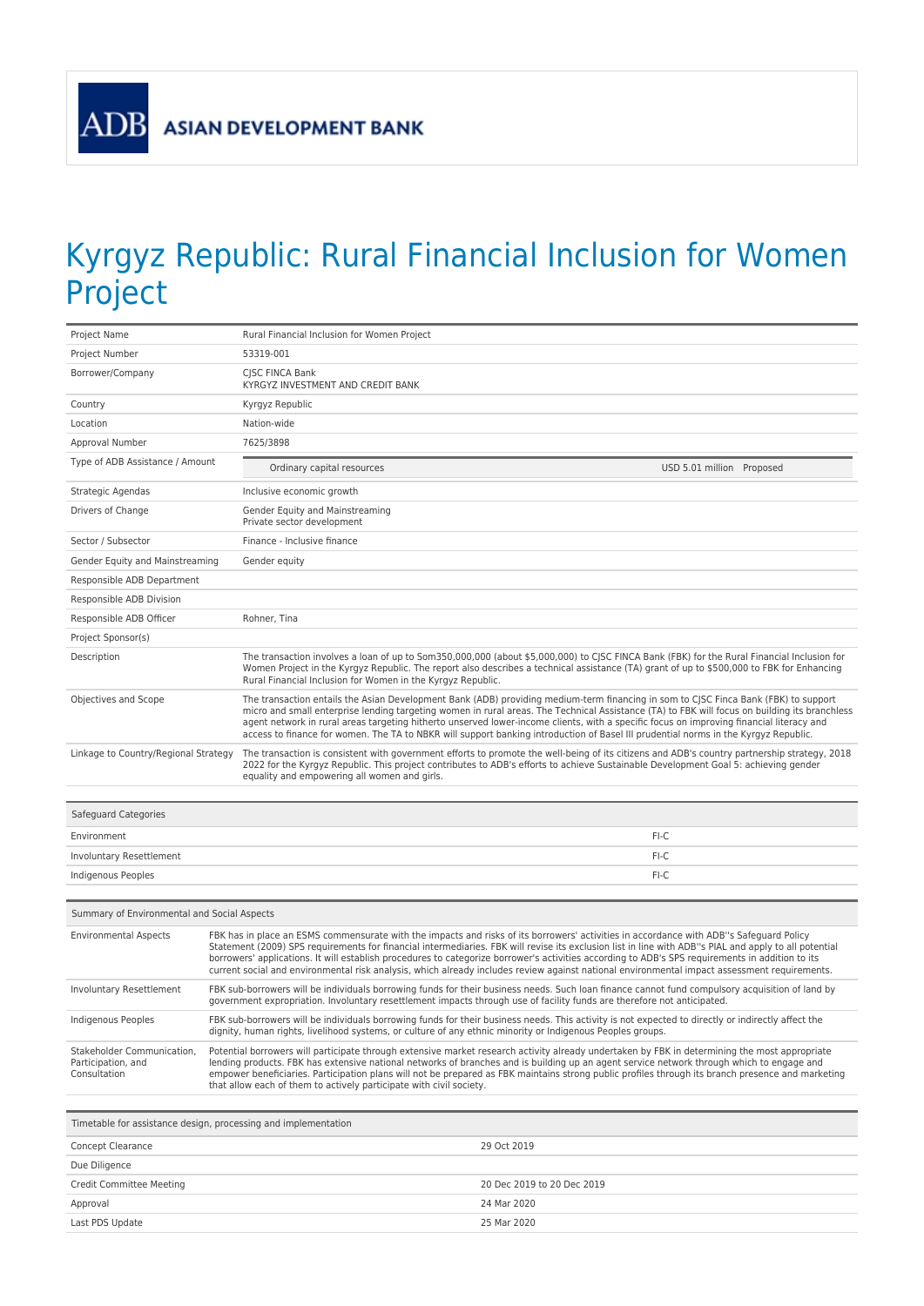## Kyrgyz Republic: Rural Financial Inclusion for Women Project

| Project Name                                                     | Rural Financial Inclusion for Women Project                                                                                                                                                                                                                                                                                                                                                                                                                                                                                                                                                          |  |
|------------------------------------------------------------------|------------------------------------------------------------------------------------------------------------------------------------------------------------------------------------------------------------------------------------------------------------------------------------------------------------------------------------------------------------------------------------------------------------------------------------------------------------------------------------------------------------------------------------------------------------------------------------------------------|--|
| Project Number                                                   | 53319-001                                                                                                                                                                                                                                                                                                                                                                                                                                                                                                                                                                                            |  |
| Borrower/Company                                                 | CJSC FINCA Bank<br>KYRGYZ INVESTMENT AND CREDIT BANK                                                                                                                                                                                                                                                                                                                                                                                                                                                                                                                                                 |  |
| Country                                                          | Kyrgyz Republic                                                                                                                                                                                                                                                                                                                                                                                                                                                                                                                                                                                      |  |
| Location                                                         | Nation-wide                                                                                                                                                                                                                                                                                                                                                                                                                                                                                                                                                                                          |  |
| Approval Number                                                  | 7625/3898                                                                                                                                                                                                                                                                                                                                                                                                                                                                                                                                                                                            |  |
| Type of ADB Assistance / Amount                                  | Ordinary capital resources<br>USD 5.01 million Proposed                                                                                                                                                                                                                                                                                                                                                                                                                                                                                                                                              |  |
| Strategic Agendas                                                | Inclusive economic growth                                                                                                                                                                                                                                                                                                                                                                                                                                                                                                                                                                            |  |
| Drivers of Change                                                | Gender Equity and Mainstreaming<br>Private sector development                                                                                                                                                                                                                                                                                                                                                                                                                                                                                                                                        |  |
| Sector / Subsector                                               | Finance - Inclusive finance                                                                                                                                                                                                                                                                                                                                                                                                                                                                                                                                                                          |  |
| Gender Equity and Mainstreaming                                  | Gender equity                                                                                                                                                                                                                                                                                                                                                                                                                                                                                                                                                                                        |  |
| Responsible ADB Department                                       |                                                                                                                                                                                                                                                                                                                                                                                                                                                                                                                                                                                                      |  |
| Responsible ADB Division                                         |                                                                                                                                                                                                                                                                                                                                                                                                                                                                                                                                                                                                      |  |
| Responsible ADB Officer                                          | Rohner, Tina                                                                                                                                                                                                                                                                                                                                                                                                                                                                                                                                                                                         |  |
| Project Sponsor(s)                                               |                                                                                                                                                                                                                                                                                                                                                                                                                                                                                                                                                                                                      |  |
| Description                                                      | The transaction involves a loan of up to Som350,000,000 (about \$5,000,000) to CJSC FINCA Bank (FBK) for the Rural Financial Inclusion for<br>Women Project in the Kyrgyz Republic. The report also describes a technical assistance (TA) grant of up to \$500,000 to FBK for Enhancing<br>Rural Financial Inclusion for Women in the Kyrgyz Republic.                                                                                                                                                                                                                                               |  |
| Objectives and Scope                                             | The transaction entails the Asian Development Bank (ADB) providing medium-term financing in som to CJSC Finca Bank (FBK) to support<br>micro and small enterprise lending targeting women in rural areas. The Technical Assistance (TA) to FBK will focus on building its branchless<br>agent network in rural areas targeting hitherto unserved lower-income clients, with a specific focus on improving financial literacy and<br>access to finance for women. The TA to NBKR will support banking introduction of Basel III prudential norms in the Kyrgyz Republic.                              |  |
| Linkage to Country/Regional Strategy                             | The transaction is consistent with government efforts to promote the well-being of its citizens and ADB's country partnership strategy, 2018<br>2022 for the Kyrgyz Republic. This project contributes to ADB's efforts to achieve Sustainable Development Goal 5: achieving gender<br>equality and empowering all women and girls.                                                                                                                                                                                                                                                                  |  |
| Safeguard Categories                                             |                                                                                                                                                                                                                                                                                                                                                                                                                                                                                                                                                                                                      |  |
| Environment                                                      | FI-C                                                                                                                                                                                                                                                                                                                                                                                                                                                                                                                                                                                                 |  |
| Involuntary Resettlement                                         | FI-C                                                                                                                                                                                                                                                                                                                                                                                                                                                                                                                                                                                                 |  |
| Indigenous Peoples                                               | FI-C                                                                                                                                                                                                                                                                                                                                                                                                                                                                                                                                                                                                 |  |
|                                                                  |                                                                                                                                                                                                                                                                                                                                                                                                                                                                                                                                                                                                      |  |
| Summary of Environmental and Social Aspects                      |                                                                                                                                                                                                                                                                                                                                                                                                                                                                                                                                                                                                      |  |
| <b>Environmental Aspects</b>                                     | FBK has in place an ESMS commensurate with the impacts and risks of its borrowers' activities in accordance with ADB"s Safeguard Policy<br>Statement (2009) SPS requirements for financial intermediaries. FBK will revise its exclusion list in line with ADB"s PIAL and apply to all potential<br>borrowers' applications. It will establish procedures to categorize borrower's activities according to ADB's SPS requirements in addition to its<br>current social and environmental risk analysis, which already includes review against national environmental impact assessment requirements. |  |
| <b>Involuntary Resettlement</b>                                  | FBK sub-borrowers will be individuals borrowing funds for their business needs. Such loan finance cannot fund compulsory acquisition of land by<br>government expropriation. Involuntary resettlement impacts through use of facility funds are therefore not anticipated.                                                                                                                                                                                                                                                                                                                           |  |
| Indigenous Peoples                                               | FBK sub-borrowers will be individuals borrowing funds for their business needs. This activity is not expected to directly or indirectly affect the<br>dignity, human rights, livelihood systems, or culture of any ethnic minority or Indigenous Peoples groups.                                                                                                                                                                                                                                                                                                                                     |  |
| Stakeholder Communication,<br>Participation, and<br>Consultation | Potential borrowers will participate through extensive market research activity already undertaken by FBK in determining the most appropriate<br>lending products. FBK has extensive national networks of branches and is building up an agent service network through which to engage and<br>empower beneficiaries. Participation plans will not be prepared as FBK maintains strong public profiles through its branch presence and marketing<br>that allow each of them to actively participate with civil society.                                                                               |  |

| Timetable for assistance design, processing and implementation |                            |  |
|----------------------------------------------------------------|----------------------------|--|
| Concept Clearance                                              | 29 Oct 2019                |  |
| Due Diligence                                                  |                            |  |
| Credit Committee Meeting                                       | 20 Dec 2019 to 20 Dec 2019 |  |
| Approval                                                       | 24 Mar 2020                |  |
| Last PDS Update                                                | 25 Mar 2020                |  |